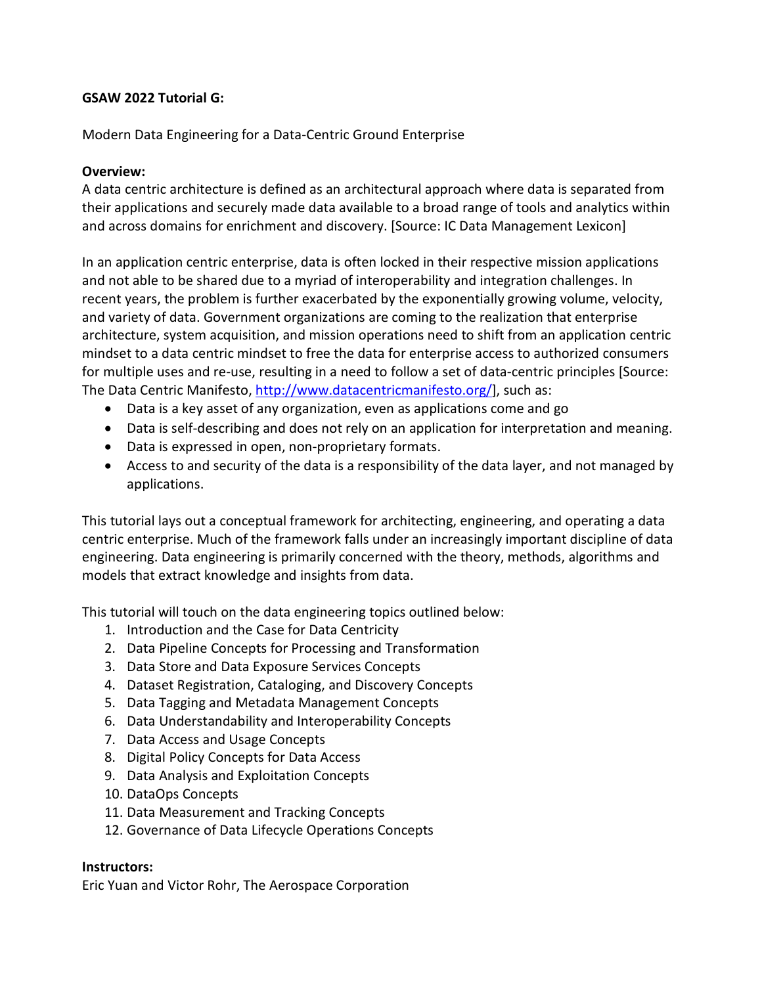### **GSAW 2022 Tutorial G:**

Modern Data Engineering for a Data-Centric Ground Enterprise

## **Overview:**

A data centric architecture is defined as an architectural approach where data is separated from their applications and securely made data available to a broad range of tools and analytics within and across domains for enrichment and discovery. [Source: IC Data Management Lexicon]

In an application centric enterprise, data is often locked in their respective mission applications and not able to be shared due to a myriad of interoperability and integration challenges. In recent years, the problem is further exacerbated by the exponentially growing volume, velocity, and variety of data. Government organizations are coming to the realization that enterprise architecture, system acquisition, and mission operations need to shift from an application centric mindset to a data centric mindset to free the data for enterprise access to authorized consumers for multiple uses and re-use, resulting in a need to follow a set of data-centric principles [Source: The Data Centric Manifesto, [http://www.datacentricmanifesto.org/\]](http://www.datacentricmanifesto.org/), such as:

- Data is a key asset of any organization, even as applications come and go
- Data is self-describing and does not rely on an application for interpretation and meaning.
- Data is expressed in open, non-proprietary formats.
- Access to and security of the data is a responsibility of the data layer, and not managed by applications.

This tutorial lays out a conceptual framework for architecting, engineering, and operating a data centric enterprise. Much of the framework falls under an increasingly important discipline of data engineering. Data engineering is primarily concerned with the theory, methods, algorithms and models that extract knowledge and insights from data.

This tutorial will touch on the data engineering topics outlined below:

- 1. Introduction and the Case for Data Centricity
- 2. Data Pipeline Concepts for Processing and Transformation
- 3. Data Store and Data Exposure Services Concepts
- 4. Dataset Registration, Cataloging, and Discovery Concepts
- 5. Data Tagging and Metadata Management Concepts
- 6. Data Understandability and Interoperability Concepts
- 7. Data Access and Usage Concepts
- 8. Digital Policy Concepts for Data Access
- 9. Data Analysis and Exploitation Concepts
- 10. DataOps Concepts
- 11. Data Measurement and Tracking Concepts
- 12. Governance of Data Lifecycle Operations Concepts

# **Instructors:**

Eric Yuan and Victor Rohr, The Aerospace Corporation